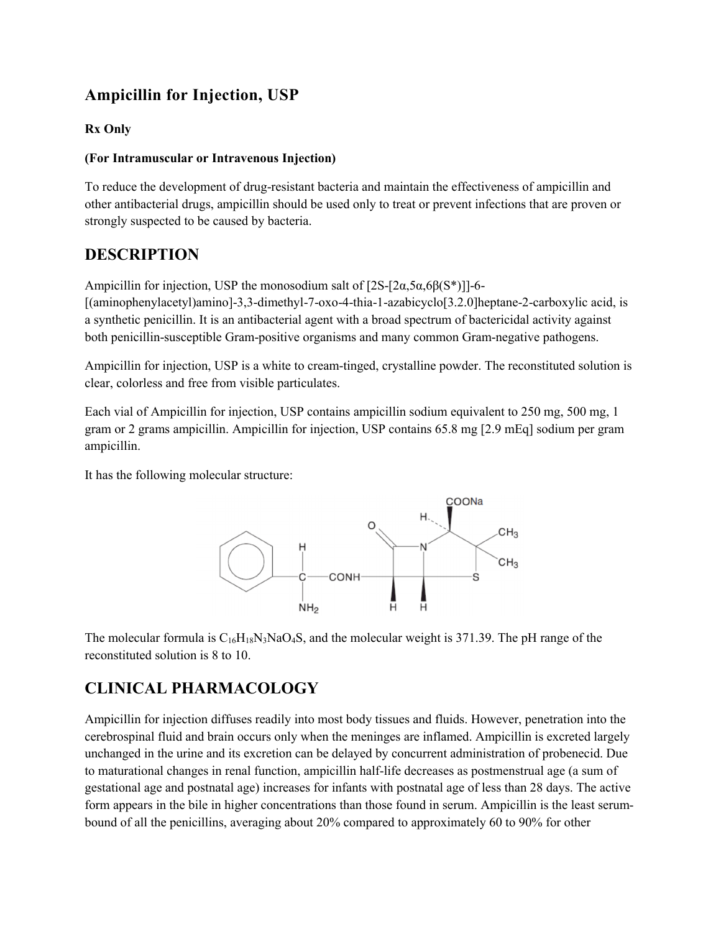# **Ampicillin for Injection, USP**

### **Rx Only**

#### **(For Intramuscular or Intravenous Injection)**

To reduce the development of drug-resistant bacteria and maintain the effectiveness of ampicillin and other antibacterial drugs, ampicillin should be used only to treat or prevent infections that are proven or strongly suspected to be caused by bacteria.

## **DESCRIPTION**

Ampicillin for injection, USP the monosodium salt of  $[2S-[2\alpha,5\alpha,6\beta(S^*)]]-6$ -

[(aminophenylacetyl)amino]-3,3-dimethyl-7-oxo-4-thia-1-azabicyclo[3.2.0]heptane-2-carboxylic acid, is a synthetic penicillin. It is an antibacterial agent with a broad spectrum of bactericidal activity against both penicillin-susceptible Gram-positive organisms and many common Gram-negative pathogens.

Ampicillin for injection, USP is a white to cream-tinged, crystalline powder. The reconstituted solution is clear, colorless and free from visible particulates.

Each vial of Ampicillin for injection, USP contains ampicillin sodium equivalent to 250 mg, 500 mg, 1 gram or 2 grams ampicillin. Ampicillin for injection, USP contains 65.8 mg [2.9 mEq] sodium per gram ampicillin.

It has the following molecular structure:



The molecular formula is  $C_{16}H_{18}N_3NaO_4S$ , and the molecular weight is 371.39. The pH range of the reconstituted solution is 8 to 10.

# **CLINICAL PHARMACOLOGY**

Ampicillin for injection diffuses readily into most body tissues and fluids. However, penetration into the cerebrospinal fluid and brain occurs only when the meninges are inflamed. Ampicillin is excreted largely unchanged in the urine and its excretion can be delayed by concurrent administration of probenecid. Due to maturational changes in renal function, ampicillin half-life decreases as postmenstrual age (a sum of gestational age and postnatal age) increases for infants with postnatal age of less than 28 days. The active form appears in the bile in higher concentrations than those found in serum. Ampicillin is the least serumbound of all the penicillins, averaging about 20% compared to approximately 60 to 90% for other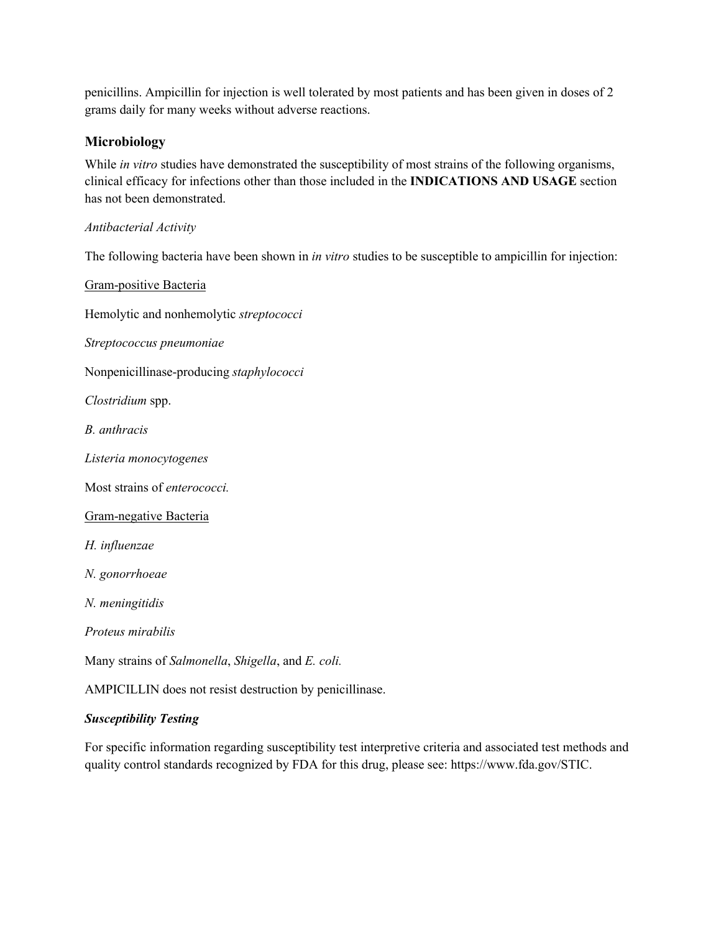penicillins. Ampicillin for injection is well tolerated by most patients and has been given in doses of 2 grams daily for many weeks without adverse reactions.

#### **Microbiology**

While *in vitro* studies have demonstrated the susceptibility of most strains of the following organisms, clinical efficacy for infections other than those included in the **INDICATIONS AND USAGE** section has not been demonstrated.

#### *Antibacterial Activity*

The following bacteria have been shown in *in vitro* studies to be susceptible to ampicillin for injection:

Gram-positive Bacteria

Hemolytic and nonhemolytic *streptococci*

*Streptococcus pneumoniae*

Nonpenicillinase-producing *staphylococci*

*Clostridium* spp.

*B. anthracis*

*Listeria monocytogenes*

Most strains of *enterococci.*

#### Gram-negative Bacteria

*H. influenzae*

*N. gonorrhoeae*

*N. meningitidis*

*Proteus mirabilis*

Many strains of *Salmonella*, *Shigella*, and *E. coli.*

AMPICILLIN does not resist destruction by penicillinase.

#### *Susceptibility Testing*

For specific information regarding susceptibility test interpretive criteria and associated test methods and quality control standards recognized by FDA for this drug, please see: https://www.fda.gov/STIC.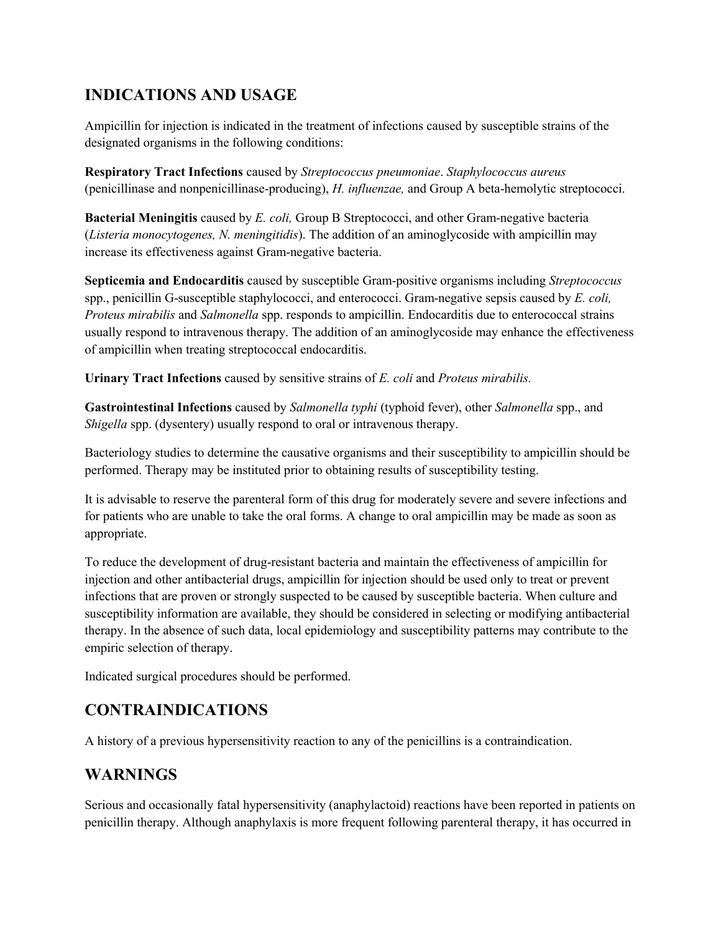# **INDICATIONS AND USAGE**

Ampicillin for injection is indicated in the treatment of infections caused by susceptible strains of the designated organisms in the following conditions:

**Respiratory Tract Infections** caused by *Streptococcus pneumoniae*. *Staphylococcus aureus* (penicillinase and nonpenicillinase-producing), *H. influenzae,* and Group A beta-hemolytic streptococci.

**Bacterial Meningitis** caused by *E. coli,* Group B Streptococci, and other Gram-negative bacteria (*Listeria monocytogenes, N. meningitidis*). The addition of an aminoglycoside with ampicillin may increase its effectiveness against Gram-negative bacteria.

**Septicemia and Endocarditis** caused by susceptible Gram-positive organisms including *Streptococcus* spp., penicillin G-susceptible staphylococci, and enterococci. Gram-negative sepsis caused by *E. coli, Proteus mirabilis* and *Salmonella* spp. responds to ampicillin. Endocarditis due to enterococcal strains usually respond to intravenous therapy. The addition of an aminoglycoside may enhance the effectiveness of ampicillin when treating streptococcal endocarditis.

**Urinary Tract Infections** caused by sensitive strains of *E. coli* and *Proteus mirabilis.*

**Gastrointestinal Infections** caused by *Salmonella typhi* (typhoid fever), other *Salmonella* spp., and *Shigella* spp. (dysentery) usually respond to oral or intravenous therapy.

Bacteriology studies to determine the causative organisms and their susceptibility to ampicillin should be performed. Therapy may be instituted prior to obtaining results of susceptibility testing.

It is advisable to reserve the parenteral form of this drug for moderately severe and severe infections and for patients who are unable to take the oral forms. A change to oral ampicillin may be made as soon as appropriate.

To reduce the development of drug-resistant bacteria and maintain the effectiveness of ampicillin for injection and other antibacterial drugs, ampicillin for injection should be used only to treat or prevent infections that are proven or strongly suspected to be caused by susceptible bacteria. When culture and susceptibility information are available, they should be considered in selecting or modifying antibacterial therapy. In the absence of such data, local epidemiology and susceptibility patterns may contribute to the empiric selection of therapy.

Indicated surgical procedures should be performed.

### **CONTRAINDICATIONS**

A history of a previous hypersensitivity reaction to any of the penicillins is a contraindication.

## **WARNINGS**

Serious and occasionally fatal hypersensitivity (anaphylactoid) reactions have been reported in patients on penicillin therapy. Although anaphylaxis is more frequent following parenteral therapy, it has occurred in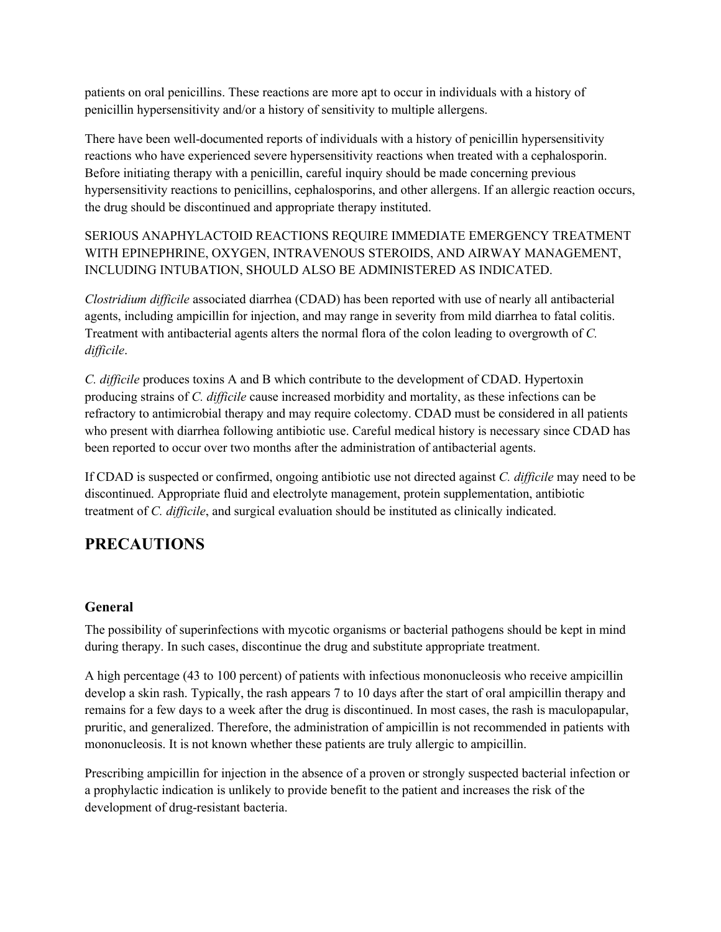patients on oral penicillins. These reactions are more apt to occur in individuals with a history of penicillin hypersensitivity and/or a history of sensitivity to multiple allergens.

There have been well-documented reports of individuals with a history of penicillin hypersensitivity reactions who have experienced severe hypersensitivity reactions when treated with a cephalosporin. Before initiating therapy with a penicillin, careful inquiry should be made concerning previous hypersensitivity reactions to penicillins, cephalosporins, and other allergens. If an allergic reaction occurs, the drug should be discontinued and appropriate therapy instituted.

SERIOUS ANAPHYLACTOID REACTIONS REQUIRE IMMEDIATE EMERGENCY TREATMENT WITH EPINEPHRINE, OXYGEN, INTRAVENOUS STEROIDS, AND AIRWAY MANAGEMENT, INCLUDING INTUBATION, SHOULD ALSO BE ADMINISTERED AS INDICATED.

*Clostridium difficile* associated diarrhea (CDAD) has been reported with use of nearly all antibacterial agents, including ampicillin for injection, and may range in severity from mild diarrhea to fatal colitis. Treatment with antibacterial agents alters the normal flora of the colon leading to overgrowth of *C. difficile*.

*C. difficile* produces toxins A and B which contribute to the development of CDAD. Hypertoxin producing strains of *C. difficile* cause increased morbidity and mortality, as these infections can be refractory to antimicrobial therapy and may require colectomy. CDAD must be considered in all patients who present with diarrhea following antibiotic use. Careful medical history is necessary since CDAD has been reported to occur over two months after the administration of antibacterial agents.

If CDAD is suspected or confirmed, ongoing antibiotic use not directed against *C. difficile* may need to be discontinued. Appropriate fluid and electrolyte management, protein supplementation, antibiotic treatment of *C. difficile*, and surgical evaluation should be instituted as clinically indicated.

## **PRECAUTIONS**

#### **General**

The possibility of superinfections with mycotic organisms or bacterial pathogens should be kept in mind during therapy. In such cases, discontinue the drug and substitute appropriate treatment.

A high percentage (43 to 100 percent) of patients with infectious mononucleosis who receive ampicillin develop a skin rash. Typically, the rash appears 7 to 10 days after the start of oral ampicillin therapy and remains for a few days to a week after the drug is discontinued. In most cases, the rash is maculopapular, pruritic, and generalized. Therefore, the administration of ampicillin is not recommended in patients with mononucleosis. It is not known whether these patients are truly allergic to ampicillin.

Prescribing ampicillin for injection in the absence of a proven or strongly suspected bacterial infection or a prophylactic indication is unlikely to provide benefit to the patient and increases the risk of the development of drug-resistant bacteria.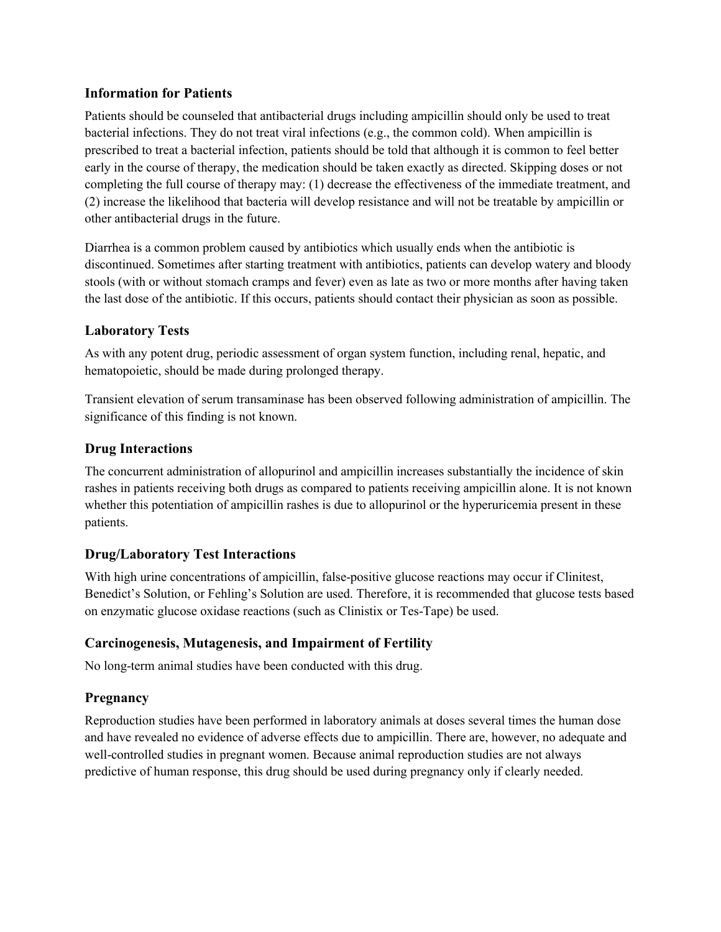#### **Information for Patients**

Patients should be counseled that antibacterial drugs including ampicillin should only be used to treat bacterial infections. They do not treat viral infections (e.g., the common cold). When ampicillin is prescribed to treat a bacterial infection, patients should be told that although it is common to feel better early in the course of therapy, the medication should be taken exactly as directed. Skipping doses or not completing the full course of therapy may: (1) decrease the effectiveness of the immediate treatment, and (2) increase the likelihood that bacteria will develop resistance and will not be treatable by ampicillin or other antibacterial drugs in the future.

Diarrhea is a common problem caused by antibiotics which usually ends when the antibiotic is discontinued. Sometimes after starting treatment with antibiotics, patients can develop watery and bloody stools (with or without stomach cramps and fever) even as late as two or more months after having taken the last dose of the antibiotic. If this occurs, patients should contact their physician as soon as possible.

### **Laboratory Tests**

As with any potent drug, periodic assessment of organ system function, including renal, hepatic, and hematopoietic, should be made during prolonged therapy.

Transient elevation of serum transaminase has been observed following administration of ampicillin. The significance of this finding is not known.

#### **Drug Interactions**

The concurrent administration of allopurinol and ampicillin increases substantially the incidence of skin rashes in patients receiving both drugs as compared to patients receiving ampicillin alone. It is not known whether this potentiation of ampicillin rashes is due to allopurinol or the hyperuricemia present in these patients.

### **Drug/Laboratory Test Interactions**

With high urine concentrations of ampicillin, false-positive glucose reactions may occur if Clinitest, Benedict's Solution, or Fehling's Solution are used. Therefore, it is recommended that glucose tests based on enzymatic glucose oxidase reactions (such as Clinistix or Tes-Tape) be used.

### **Carcinogenesis, Mutagenesis, and Impairment of Fertility**

No long-term animal studies have been conducted with this drug.

### **Pregnancy**

Reproduction studies have been performed in laboratory animals at doses several times the human dose and have revealed no evidence of adverse effects due to ampicillin. There are, however, no adequate and well-controlled studies in pregnant women. Because animal reproduction studies are not always predictive of human response, this drug should be used during pregnancy only if clearly needed.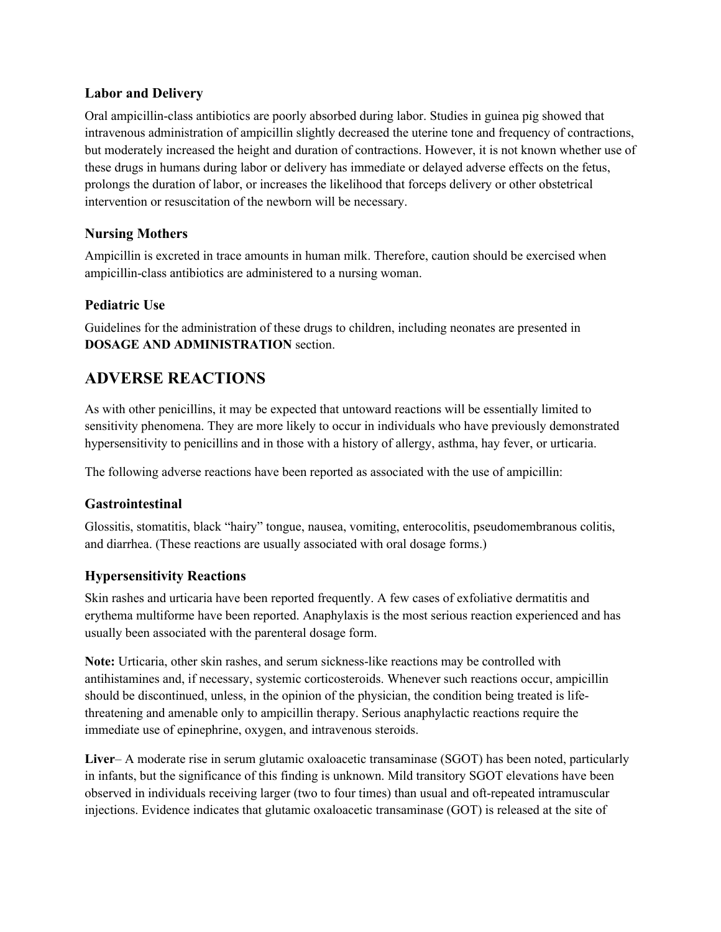#### **Labor and Delivery**

Oral ampicillin-class antibiotics are poorly absorbed during labor. Studies in guinea pig showed that intravenous administration of ampicillin slightly decreased the uterine tone and frequency of contractions, but moderately increased the height and duration of contractions. However, it is not known whether use of these drugs in humans during labor or delivery has immediate or delayed adverse effects on the fetus, prolongs the duration of labor, or increases the likelihood that forceps delivery or other obstetrical intervention or resuscitation of the newborn will be necessary.

#### **Nursing Mothers**

Ampicillin is excreted in trace amounts in human milk. Therefore, caution should be exercised when ampicillin-class antibiotics are administered to a nursing woman.

### **Pediatric Use**

Guidelines for the administration of these drugs to children, including neonates are presented in **DOSAGE AND ADMINISTRATION** section.

## **ADVERSE REACTIONS**

As with other penicillins, it may be expected that untoward reactions will be essentially limited to sensitivity phenomena. They are more likely to occur in individuals who have previously demonstrated hypersensitivity to penicillins and in those with a history of allergy, asthma, hay fever, or urticaria.

The following adverse reactions have been reported as associated with the use of ampicillin:

### **Gastrointestinal**

Glossitis, stomatitis, black "hairy" tongue, nausea, vomiting, enterocolitis, pseudomembranous colitis, and diarrhea. (These reactions are usually associated with oral dosage forms.)

### **Hypersensitivity Reactions**

Skin rashes and urticaria have been reported frequently. A few cases of exfoliative dermatitis and erythema multiforme have been reported. Anaphylaxis is the most serious reaction experienced and has usually been associated with the parenteral dosage form.

**Note:** Urticaria, other skin rashes, and serum sickness-like reactions may be controlled with antihistamines and, if necessary, systemic corticosteroids. Whenever such reactions occur, ampicillin should be discontinued, unless, in the opinion of the physician, the condition being treated is lifethreatening and amenable only to ampicillin therapy. Serious anaphylactic reactions require the immediate use of epinephrine, oxygen, and intravenous steroids.

**Liver**– A moderate rise in serum glutamic oxaloacetic transaminase (SGOT) has been noted, particularly in infants, but the significance of this finding is unknown. Mild transitory SGOT elevations have been observed in individuals receiving larger (two to four times) than usual and oft-repeated intramuscular injections. Evidence indicates that glutamic oxaloacetic transaminase (GOT) is released at the site of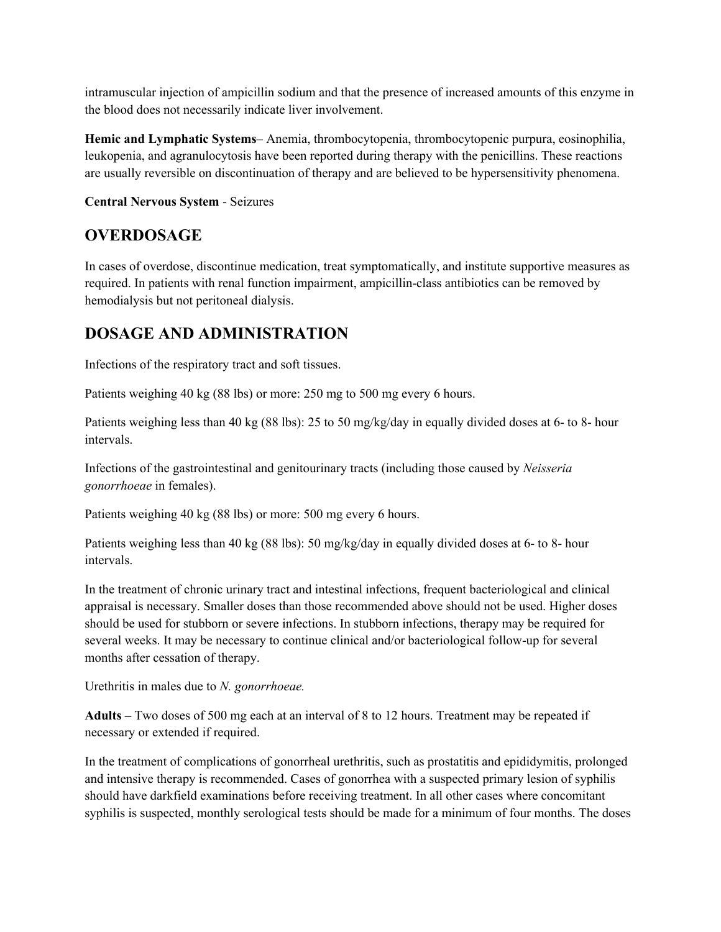intramuscular injection of ampicillin sodium and that the presence of increased amounts of this enzyme in the blood does not necessarily indicate liver involvement.

**Hemic and Lymphatic Systems**– Anemia, thrombocytopenia, thrombocytopenic purpura, eosinophilia, leukopenia, and agranulocytosis have been reported during therapy with the penicillins. These reactions are usually reversible on discontinuation of therapy and are believed to be hypersensitivity phenomena.

**Central Nervous System** - Seizures

### **OVERDOSAGE**

In cases of overdose, discontinue medication, treat symptomatically, and institute supportive measures as required. In patients with renal function impairment, ampicillin-class antibiotics can be removed by hemodialysis but not peritoneal dialysis.

### **DOSAGE AND ADMINISTRATION**

Infections of the respiratory tract and soft tissues.

Patients weighing 40 kg (88 lbs) or more: 250 mg to 500 mg every 6 hours.

Patients weighing less than 40 kg (88 lbs): 25 to 50 mg/kg/day in equally divided doses at 6- to 8- hour intervals.

Infections of the gastrointestinal and genitourinary tracts (including those caused by *Neisseria gonorrhoeae* in females).

Patients weighing 40 kg (88 lbs) or more: 500 mg every 6 hours.

Patients weighing less than 40 kg (88 lbs): 50 mg/kg/day in equally divided doses at 6- to 8- hour intervals.

In the treatment of chronic urinary tract and intestinal infections, frequent bacteriological and clinical appraisal is necessary. Smaller doses than those recommended above should not be used. Higher doses should be used for stubborn or severe infections. In stubborn infections, therapy may be required for several weeks. It may be necessary to continue clinical and/or bacteriological follow-up for several months after cessation of therapy.

Urethritis in males due to *N. gonorrhoeae.*

**Adults –** Two doses of 500 mg each at an interval of 8 to 12 hours. Treatment may be repeated if necessary or extended if required.

In the treatment of complications of gonorrheal urethritis, such as prostatitis and epididymitis, prolonged and intensive therapy is recommended. Cases of gonorrhea with a suspected primary lesion of syphilis should have darkfield examinations before receiving treatment. In all other cases where concomitant syphilis is suspected, monthly serological tests should be made for a minimum of four months. The doses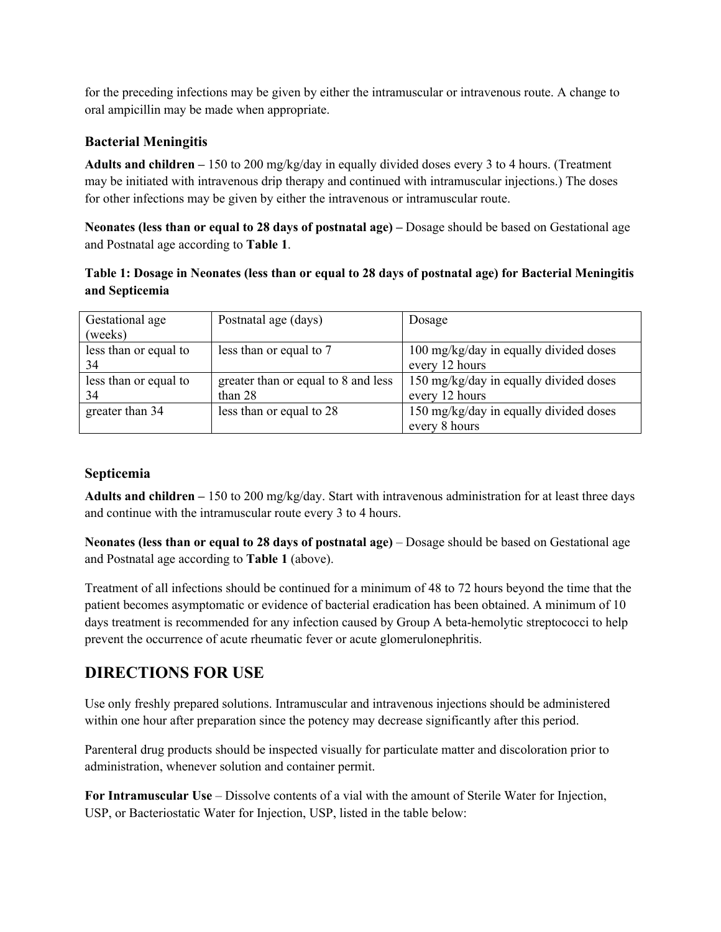for the preceding infections may be given by either the intramuscular or intravenous route. A change to oral ampicillin may be made when appropriate.

#### **Bacterial Meningitis**

**Adults and children –** 150 to 200 mg/kg/day in equally divided doses every 3 to 4 hours. (Treatment may be initiated with intravenous drip therapy and continued with intramuscular injections.) The doses for other infections may be given by either the intravenous or intramuscular route.

**Neonates (less than or equal to 28 days of postnatal age) –** Dosage should be based on Gestational age and Postnatal age according to **Table 1**.

#### **Table 1: Dosage in Neonates (less than or equal to 28 days of postnatal age) for Bacterial Meningitis and Septicemia**

| Gestational age       | Postnatal age (days)                | Dosage                                 |
|-----------------------|-------------------------------------|----------------------------------------|
| (weeks)               |                                     |                                        |
| less than or equal to | less than or equal to 7             | 100 mg/kg/day in equally divided doses |
| 34                    |                                     | every 12 hours                         |
| less than or equal to | greater than or equal to 8 and less | 150 mg/kg/day in equally divided doses |
| 34                    | than 28                             | every 12 hours                         |
| greater than 34       | less than or equal to 28            | 150 mg/kg/day in equally divided doses |
|                       |                                     | every 8 hours                          |

### **Septicemia**

**Adults and children –** 150 to 200 mg/kg/day. Start with intravenous administration for at least three days and continue with the intramuscular route every 3 to 4 hours.

**Neonates (less than or equal to 28 days of postnatal age)** – Dosage should be based on Gestational age and Postnatal age according to **Table 1** (above).

Treatment of all infections should be continued for a minimum of 48 to 72 hours beyond the time that the patient becomes asymptomatic or evidence of bacterial eradication has been obtained. A minimum of 10 days treatment is recommended for any infection caused by Group A beta-hemolytic streptococci to help prevent the occurrence of acute rheumatic fever or acute glomerulonephritis.

## **DIRECTIONS FOR USE**

Use only freshly prepared solutions. Intramuscular and intravenous injections should be administered within one hour after preparation since the potency may decrease significantly after this period.

Parenteral drug products should be inspected visually for particulate matter and discoloration prior to administration, whenever solution and container permit.

**For Intramuscular Use** – Dissolve contents of a vial with the amount of Sterile Water for Injection, USP, or Bacteriostatic Water for Injection, USP, listed in the table below: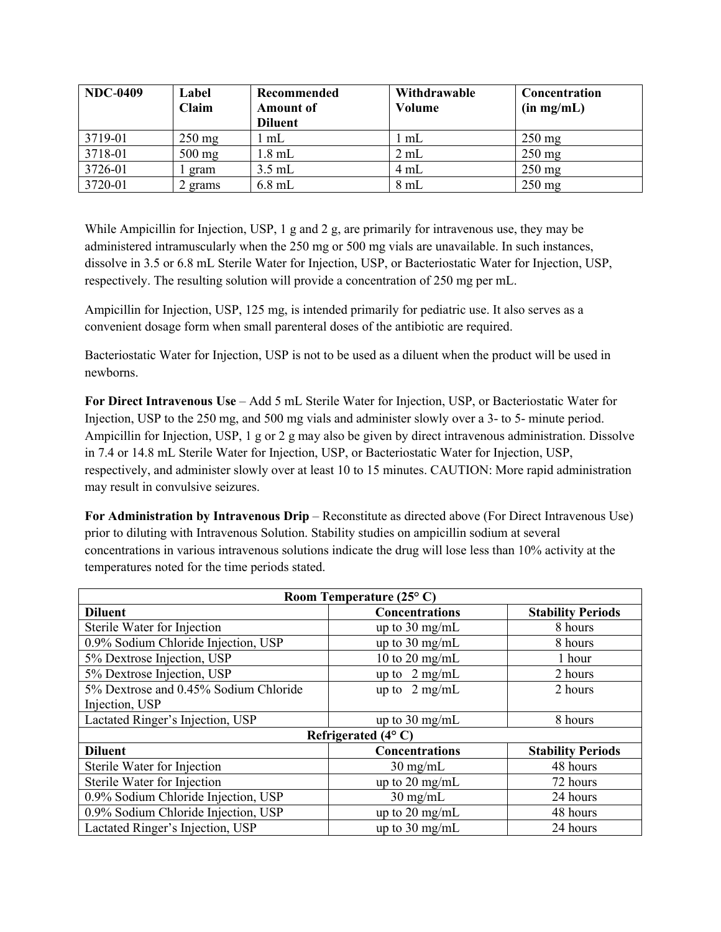| <b>NDC-0409</b> | Label<br><b>Claim</b> | Recommended<br><b>Amount of</b><br><b>Diluent</b> | Withdrawable<br>Volume | Concentration<br>(in mg/mL) |
|-----------------|-----------------------|---------------------------------------------------|------------------------|-----------------------------|
| 3719-01         | $250 \text{ mg}$      | mL                                                | mL                     | $250 \text{ mg}$            |
| 3718-01         | $500 \text{ mg}$      | $1.8$ mL                                          | $2 \text{ mL}$         | $250 \text{ mg}$            |
| 3726-01         | gram                  | $3.5$ mL                                          | 4 mL                   | $250 \text{ mg}$            |
| 3720-01         | 2 grams               | $6.8$ mL                                          | $8 \text{ mL}$         | $250 \text{ mg}$            |

While Ampicillin for Injection, USP, 1 g and 2 g, are primarily for intravenous use, they may be administered intramuscularly when the 250 mg or 500 mg vials are unavailable. In such instances, dissolve in 3.5 or 6.8 mL Sterile Water for Injection, USP, or Bacteriostatic Water for Injection, USP, respectively. The resulting solution will provide a concentration of 250 mg per mL.

Ampicillin for Injection, USP, 125 mg, is intended primarily for pediatric use. It also serves as a convenient dosage form when small parenteral doses of the antibiotic are required.

Bacteriostatic Water for Injection, USP is not to be used as a diluent when the product will be used in newborns.

**For Direct Intravenous Use** – Add 5 mL Sterile Water for Injection, USP, or Bacteriostatic Water for Injection, USP to the 250 mg, and 500 mg vials and administer slowly over a 3- to 5- minute period. Ampicillin for Injection, USP, 1 g or 2 g may also be given by direct intravenous administration. Dissolve in 7.4 or 14.8 mL Sterile Water for Injection, USP, or Bacteriostatic Water for Injection, USP, respectively, and administer slowly over at least 10 to 15 minutes. CAUTION: More rapid administration may result in convulsive seizures.

**For Administration by Intravenous Drip** – Reconstitute as directed above (For Direct Intravenous Use) prior to diluting with Intravenous Solution. Stability studies on ampicillin sodium at several concentrations in various intravenous solutions indicate the drug will lose less than 10% activity at the temperatures noted for the time periods stated.

| Room Temperature (25°C)               |                          |                          |  |  |
|---------------------------------------|--------------------------|--------------------------|--|--|
| <b>Diluent</b>                        | <b>Concentrations</b>    | <b>Stability Periods</b> |  |  |
| Sterile Water for Injection           | up to $30 \text{ mg/mL}$ | 8 hours                  |  |  |
| 0.9% Sodium Chloride Injection, USP   | up to 30 mg/mL           | 8 hours                  |  |  |
| 5% Dextrose Injection, USP            | 10 to 20 mg/mL           | 1 hour                   |  |  |
| 5% Dextrose Injection, USP            | up to $2 \text{ mg/mL}$  | 2 hours                  |  |  |
| 5% Dextrose and 0.45% Sodium Chloride | up to $2 \text{ mg/mL}$  | 2 hours                  |  |  |
| Injection, USP                        |                          |                          |  |  |
| Lactated Ringer's Injection, USP      | up to $30 \text{ mg/mL}$ | 8 hours                  |  |  |
| Refrigerated $(4^{\circ} C)$          |                          |                          |  |  |
| <b>Diluent</b>                        | <b>Concentrations</b>    | <b>Stability Periods</b> |  |  |
| Sterile Water for Injection           | $30 \text{ mg/mL}$       | 48 hours                 |  |  |
| Sterile Water for Injection           | up to 20 mg/mL           | 72 hours                 |  |  |
| 0.9% Sodium Chloride Injection, USP   | $30 \text{ mg/mL}$       | 24 hours                 |  |  |
| 0.9% Sodium Chloride Injection, USP   | up to $20 \text{ mg/mL}$ | 48 hours                 |  |  |
| Lactated Ringer's Injection, USP      | up to $30 \text{ mg/mL}$ | 24 hours                 |  |  |